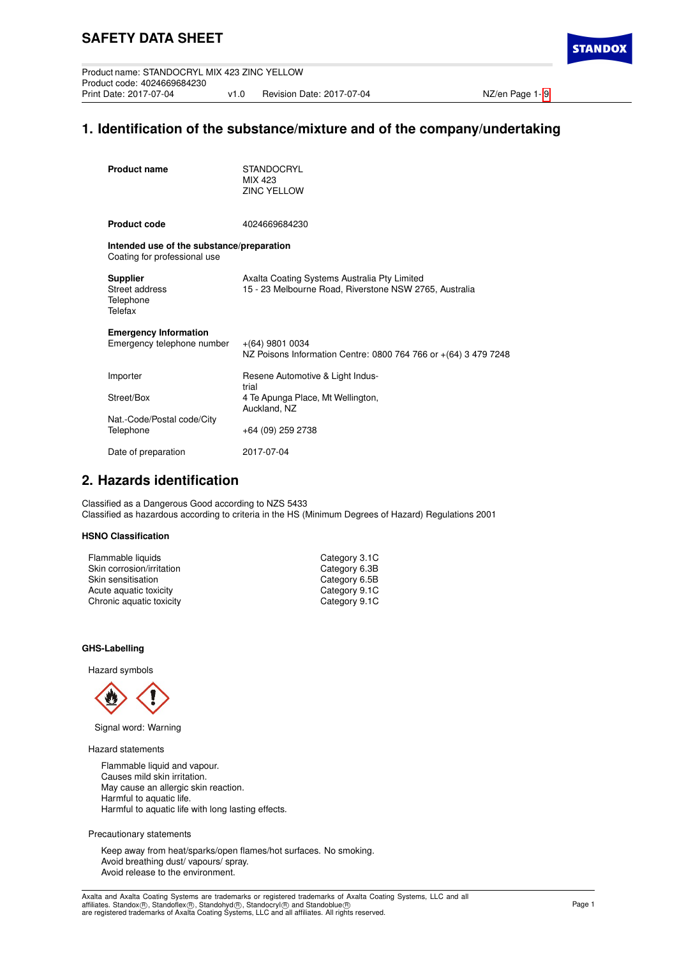Product name: STANDOCRYL MIX 423 ZINC YELLOW Product code: 4024669684230 v1.0 Revision Date: 2017-07-04 NZ/en Page 1- [9](#page-8-0)

**STANDO** 

# **1. Identification of the substance/mixture and of the company/undertaking**

| <b>Product name</b>                                                       | <b>STANDOCRYL</b><br>MIX 423<br><b>ZINC YELLOW</b>                                                     |
|---------------------------------------------------------------------------|--------------------------------------------------------------------------------------------------------|
| <b>Product code</b>                                                       | 4024669684230                                                                                          |
| Intended use of the substance/preparation<br>Coating for professional use |                                                                                                        |
| <b>Supplier</b><br>Street address<br>Telephone<br>Telefax                 | Axalta Coating Systems Australia Pty Limited<br>15 - 23 Melbourne Road, Riverstone NSW 2765, Australia |
| <b>Emergency Information</b><br>Emergency telephone number                | $+(64)$ 9801 0034<br>NZ Poisons Information Centre: 0800 764 766 or +(64) 3 479 7248                   |
| Importer                                                                  | Resene Automotive & Light Indus-<br>trial                                                              |
| Street/Box                                                                | 4 Te Apunga Place, Mt Wellington,<br>Auckland, NZ                                                      |
| Nat.-Code/Postal code/City<br>Telephone                                   | +64 (09) 259 2738                                                                                      |
| Date of preparation                                                       | 2017-07-04                                                                                             |

## **2. Hazards identification**

Classified as a Dangerous Good according to NZS 5433 Classified as hazardous according to criteria in the HS (Minimum Degrees of Hazard) Regulations 2001

## **HSNO Classification**

| Flammable liquids         | Category 3.1C |
|---------------------------|---------------|
| Skin corrosion/irritation | Category 6.3B |
| Skin sensitisation        | Category 6.5B |
| Acute aquatic toxicity    | Category 9.1C |
| Chronic aquatic toxicity  | Category 9.1C |
|                           |               |

### **GHS-Labelling**

Hazard symbols



Signal word: Warning

Hazard statements

Flammable liquid and vapour. Causes mild skin irritation. May cause an allergic skin reaction. Harmful to aquatic life. Harmful to aquatic life with long lasting effects.

Precautionary statements

Keep away from heat/sparks/open flames/hot surfaces. No smoking. Avoid breathing dust/ vapours/ spray. Avoid release to the environment.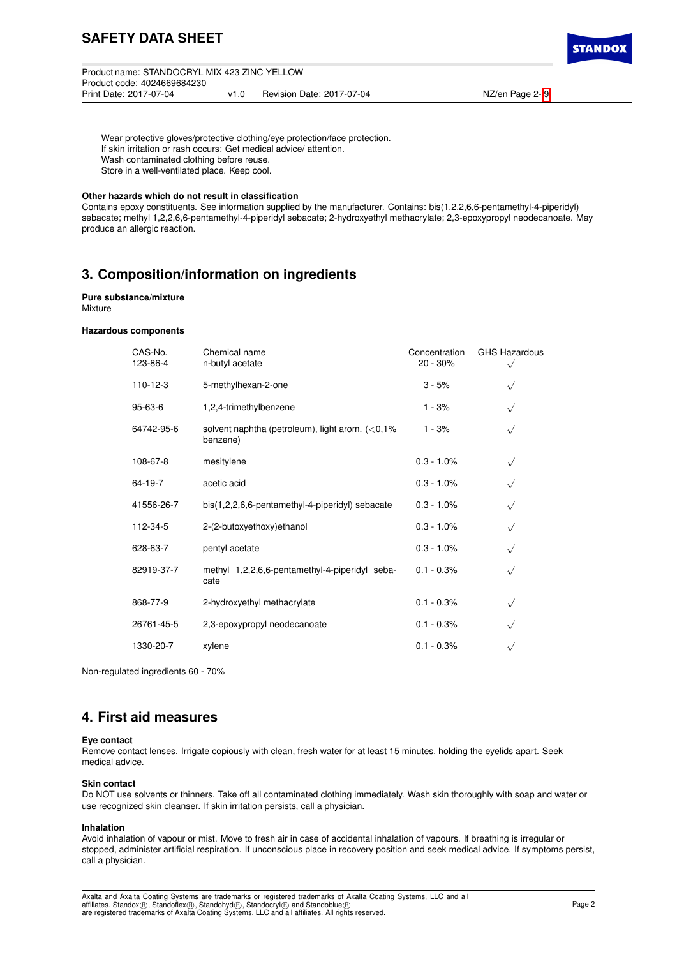# **SAFETY DATA SHEET**

Product name: STANDOCRYL MIX 423 ZINC YELLOW Product code: 4024669684230 v1.0 Revision Date: 2017-07-04 NZ/en Page 2- [9](#page-8-0)

**STANDO** 

Wear protective gloves/protective clothing/eye protection/face protection. If skin irritation or rash occurs: Get medical advice/ attention. Wash contaminated clothing before reuse. Store in a well-ventilated place. Keep cool.

## **Other hazards which do not result in classification**

Contains epoxy constituents. See information supplied by the manufacturer. Contains: bis(1,2,2,6,6-pentamethyl-4-piperidyl) sebacate; methyl 1,2,2,6,6-pentamethyl-4-piperidyl sebacate; 2-hydroxyethyl methacrylate; 2,3-epoxypropyl neodecanoate. May produce an allergic reaction.

## **3. Composition/information on ingredients**

#### **Pure substance/mixture** Mixture

#### **Hazardous components**

| CAS-No.        | Chemical name                                                  | Concentration | <b>GHS Hazardous</b> |
|----------------|----------------------------------------------------------------|---------------|----------------------|
| 123-86-4       | n-butyl acetate                                                | 20 - 30%      |                      |
| $110 - 12 - 3$ | 5-methylhexan-2-one                                            | $3 - 5%$      |                      |
| $95 - 63 - 6$  | 1,2,4-trimethylbenzene                                         | $1 - 3%$      |                      |
| 64742-95-6     | solvent naphtha (petroleum), light arom. $(<0.1\%$<br>benzene) | $1 - 3%$      |                      |
| 108-67-8       | mesitylene                                                     | $0.3 - 1.0\%$ | $\sqrt{}$            |
| 64-19-7        | acetic acid                                                    | $0.3 - 1.0\%$ |                      |
| 41556-26-7     | bis(1,2,2,6,6-pentamethyl-4-piperidyl) sebacate                | $0.3 - 1.0\%$ |                      |
| 112-34-5       | 2-(2-butoxyethoxy)ethanol                                      | $0.3 - 1.0\%$ |                      |
| 628-63-7       | pentyl acetate                                                 | $0.3 - 1.0\%$ |                      |
| 82919-37-7     | methyl 1,2,2,6,6-pentamethyl-4-piperidyl seba-<br>cate         | $0.1 - 0.3%$  | $\sqrt{}$            |
| 868-77-9       | 2-hydroxyethyl methacrylate                                    | $0.1 - 0.3%$  | $\checkmark$         |
| 26761-45-5     | 2,3-epoxypropyl neodecanoate                                   | $0.1 - 0.3%$  | $\checkmark$         |
| 1330-20-7      | xylene                                                         | $0.1 - 0.3%$  |                      |

Non-regulated ingredients 60 - 70%

## **4. First aid measures**

#### **Eye contact**

Remove contact lenses. Irrigate copiously with clean, fresh water for at least 15 minutes, holding the eyelids apart. Seek medical advice.

#### **Skin contact**

Do NOT use solvents or thinners. Take off all contaminated clothing immediately. Wash skin thoroughly with soap and water or use recognized skin cleanser. If skin irritation persists, call a physician.

#### **Inhalation**

Avoid inhalation of vapour or mist. Move to fresh air in case of accidental inhalation of vapours. If breathing is irregular or stopped, administer artificial respiration. If unconscious place in recovery position and seek medical advice. If symptoms persist, call a physician.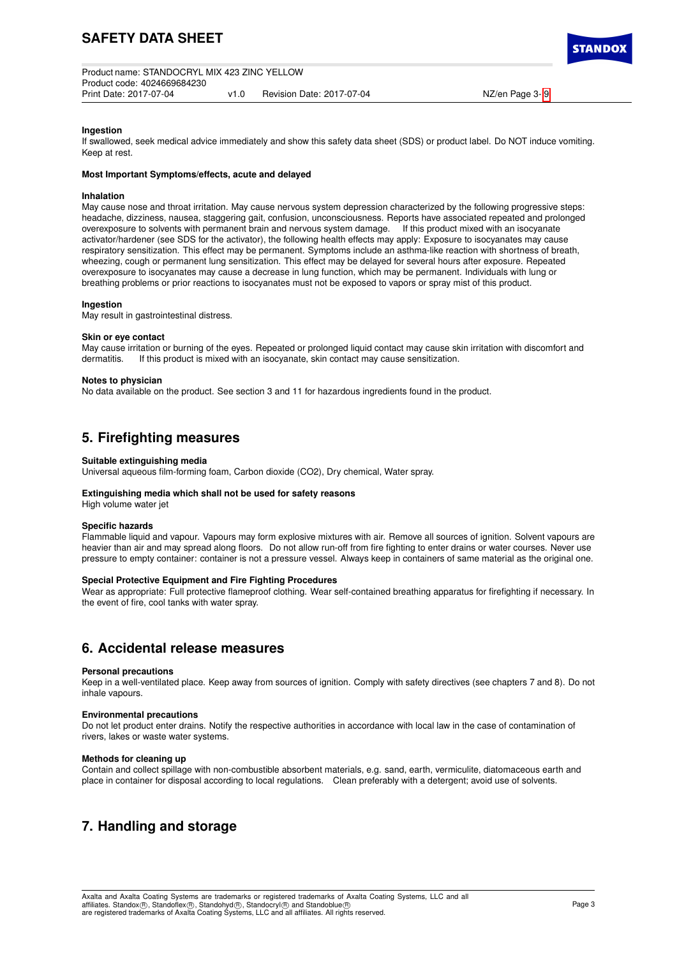**TANDO** 

### **Ingestion**

If swallowed, seek medical advice immediately and show this safety data sheet (SDS) or product label. Do NOT induce vomiting. Keep at rest.

#### **Most Important Symptoms/effects, acute and delayed**

#### **Inhalation**

May cause nose and throat irritation. May cause nervous system depression characterized by the following progressive steps: headache, dizziness, nausea, staggering gait, confusion, unconsciousness. Reports have associated repeated and prolonged overexposure to solvents with permanent brain and nervous system damage. If this product mixed with an isocyanate activator/hardener (see SDS for the activator), the following health effects may apply: Exposure to isocyanates may cause respiratory sensitization. This effect may be permanent. Symptoms include an asthma-like reaction with shortness of breath, wheezing, cough or permanent lung sensitization. This effect may be delayed for several hours after exposure. Repeated overexposure to isocyanates may cause a decrease in lung function, which may be permanent. Individuals with lung or breathing problems or prior reactions to isocyanates must not be exposed to vapors or spray mist of this product.

#### **Ingestion**

May result in gastrointestinal distress.

#### **Skin or eye contact**

May cause irritation or burning of the eyes. Repeated or prolonged liquid contact may cause skin irritation with discomfort and dermatitis. If this product is mixed with an isocvanate, skin contact may cause sensitization. If this product is mixed with an isocyanate, skin contact may cause sensitization.

#### **Notes to physician**

No data available on the product. See section 3 and 11 for hazardous ingredients found in the product.

## **5. Firefighting measures**

#### **Suitable extinguishing media**

Universal aqueous film-forming foam, Carbon dioxide (CO2), Dry chemical, Water spray.

#### **Extinguishing media which shall not be used for safety reasons**

High volume water jet

#### **Specific hazards**

Flammable liquid and vapour. Vapours may form explosive mixtures with air. Remove all sources of ignition. Solvent vapours are heavier than air and may spread along floors. Do not allow run-off from fire fighting to enter drains or water courses. Never use pressure to empty container: container is not a pressure vessel. Always keep in containers of same material as the original one.

#### **Special Protective Equipment and Fire Fighting Procedures**

Wear as appropriate: Full protective flameproof clothing. Wear self-contained breathing apparatus for firefighting if necessary. In the event of fire, cool tanks with water spray.

## **6. Accidental release measures**

#### **Personal precautions**

Keep in a well-ventilated place. Keep away from sources of ignition. Comply with safety directives (see chapters 7 and 8). Do not inhale vapours.

## **Environmental precautions**

Do not let product enter drains. Notify the respective authorities in accordance with local law in the case of contamination of rivers, lakes or waste water systems.

#### **Methods for cleaning up**

Contain and collect spillage with non-combustible absorbent materials, e.g. sand, earth, vermiculite, diatomaceous earth and place in container for disposal according to local regulations. Clean preferably with a detergent; avoid use of solvents.

## **7. Handling and storage**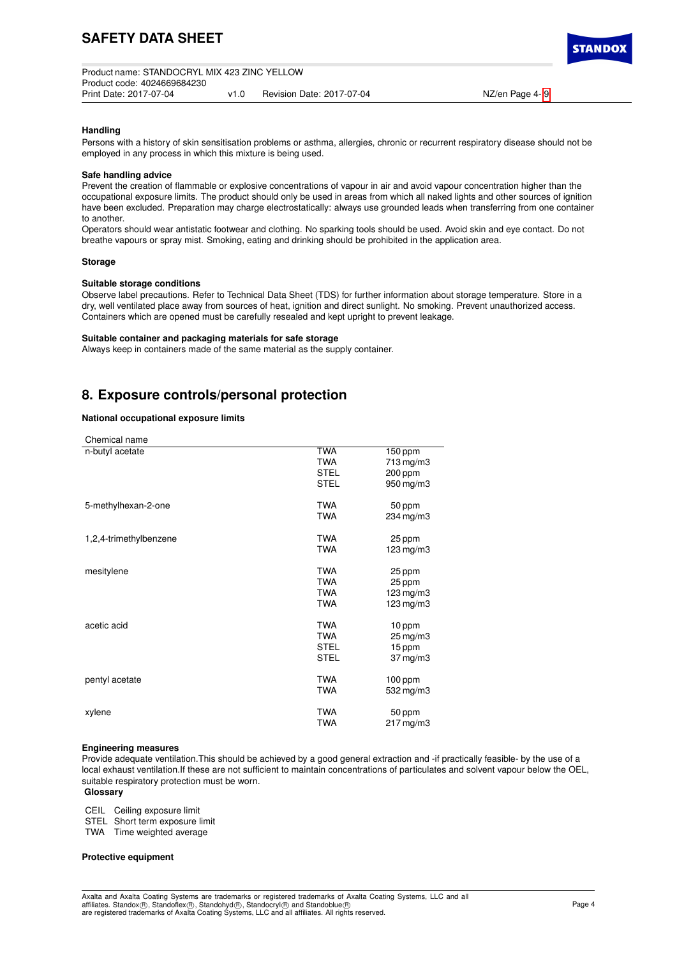**TANDO** 

## **Handling**

Persons with a history of skin sensitisation problems or asthma, allergies, chronic or recurrent respiratory disease should not be employed in any process in which this mixture is being used.

#### **Safe handling advice**

Prevent the creation of flammable or explosive concentrations of vapour in air and avoid vapour concentration higher than the occupational exposure limits. The product should only be used in areas from which all naked lights and other sources of ignition have been excluded. Preparation may charge electrostatically: always use grounded leads when transferring from one container to another.

Operators should wear antistatic footwear and clothing. No sparking tools should be used. Avoid skin and eye contact. Do not breathe vapours or spray mist. Smoking, eating and drinking should be prohibited in the application area.

## **Storage**

#### **Suitable storage conditions**

Observe label precautions. Refer to Technical Data Sheet (TDS) for further information about storage temperature. Store in a dry, well ventilated place away from sources of heat, ignition and direct sunlight. No smoking. Prevent unauthorized access. Containers which are opened must be carefully resealed and kept upright to prevent leakage.

#### **Suitable container and packaging materials for safe storage**

Always keep in containers made of the same material as the supply container.

## **8. Exposure controls/personal protection**

#### **National occupational exposure limits**

| Chemical name          |             |                        |
|------------------------|-------------|------------------------|
| n-butyl acetate        | TWA         | $150$ ppm              |
|                        | <b>TWA</b>  | 713 mg/m3              |
|                        | <b>STEL</b> | 200 ppm                |
|                        | <b>STEL</b> | 950 mg/m3              |
| 5-methylhexan-2-one    | <b>TWA</b>  | 50 ppm                 |
|                        | <b>TWA</b>  | 234 mg/m3              |
| 1,2,4-trimethylbenzene | <b>TWA</b>  | 25 ppm                 |
|                        | <b>TWA</b>  | 123 mg/m3              |
| mesitylene             | <b>TWA</b>  | 25 ppm                 |
|                        | <b>TWA</b>  | 25 ppm                 |
|                        | <b>TWA</b>  | $123$ mg/m $3$         |
|                        | <b>TWA</b>  | 123 mg/m3              |
| acetic acid            | <b>TWA</b>  | 10 ppm                 |
|                        | <b>TWA</b>  | 25 mg/m3               |
|                        | <b>STEL</b> | 15 ppm                 |
|                        | <b>STEL</b> | $37 \,\mathrm{mg/m}$   |
| pentyl acetate         | <b>TWA</b>  | $100$ ppm              |
|                        | <b>TWA</b>  | 532 mg/m3              |
| xylene                 | <b>TWA</b>  | 50 ppm                 |
|                        | <b>TWA</b>  | $217 \,\mathrm{mg/m3}$ |

#### **Engineering measures**

Provide adequate ventilation.This should be achieved by a good general extraction and -if practically feasible- by the use of a local exhaust ventilation.If these are not sufficient to maintain concentrations of particulates and solvent vapour below the OEL, suitable respiratory protection must be worn.

## **Glossary**

CEIL Ceiling exposure limit

STEL Short term exposure limit

TWA Time weighted average

#### **Protective equipment**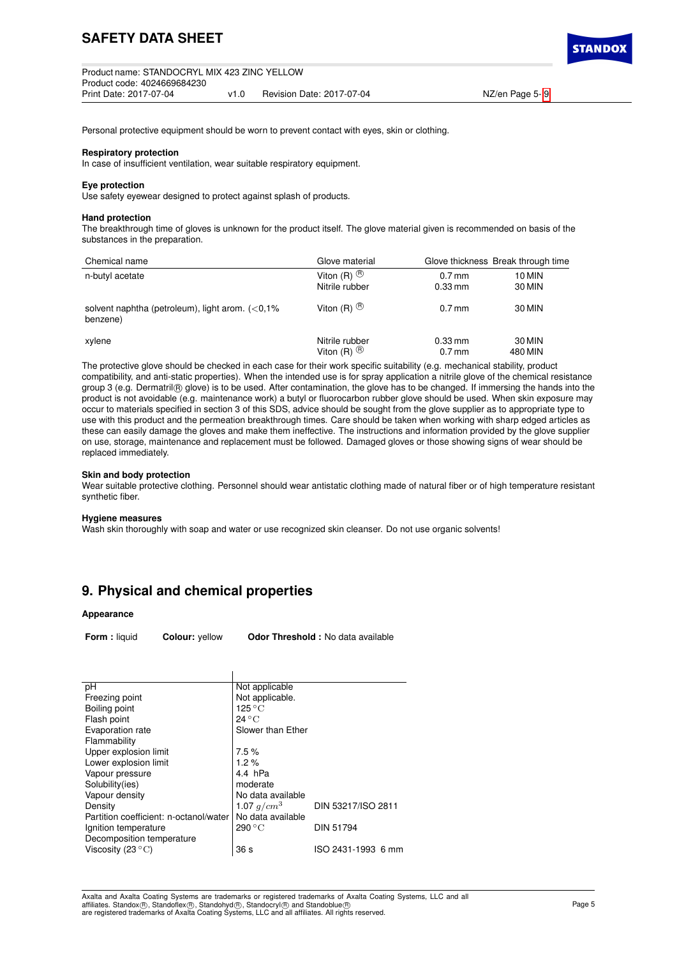Personal protective equipment should be worn to prevent contact with eyes, skin or clothing.

#### **Respiratory protection**

In case of insufficient ventilation, wear suitable respiratory equipment.

#### **Eye protection**

Use safety eyewear designed to protect against splash of products.

### **Hand protection**

The breakthrough time of gloves is unknown for the product itself. The glove material given is recommended on basis of the substances in the preparation.

| Chemical name                                                  | Glove material          |           | Glove thickness Break through time |
|----------------------------------------------------------------|-------------------------|-----------|------------------------------------|
| n-butyl acetate                                                | Viton (R) $\circledR$   | $0.7$ mm  | 10 MIN                             |
|                                                                | Nitrile rubber          | $0.33$ mm | 30 MIN                             |
| solvent naphtha (petroleum), light arom. $(<0.1\%$<br>benzene) | Viton $(R)$ $\circledR$ | $0.7$ mm  | 30 MIN                             |
| xylene                                                         | Nitrile rubber          | $0.33$ mm | 30 MIN                             |
|                                                                | Viton $(R)$ $\circledR$ | $0.7$ mm  | 480 MIN                            |

The protective glove should be checked in each case for their work specific suitability (e.g. mechanical stability, product compatibility, and anti-static properties). When the intended use is for spray application a nitrile glove of the chemical resistance group 3 (e.g. Dermatril® glove) is to be used. After contamination, the glove has to be changed. If immersing the hands into the product is not avoidable (e.g. maintenance work) a butyl or fluorocarbon rubber glove should be used. When skin exposure may occur to materials specified in section 3 of this SDS, advice should be sought from the glove supplier as to appropriate type to use with this product and the permeation breakthrough times. Care should be taken when working with sharp edged articles as these can easily damage the gloves and make them ineffective. The instructions and information provided by the glove supplier on use, storage, maintenance and replacement must be followed. Damaged gloves or those showing signs of wear should be replaced immediately.

#### **Skin and body protection**

Wear suitable protective clothing. Personnel should wear antistatic clothing made of natural fiber or of high temperature resistant synthetic fiber.

#### **Hygiene measures**

Wash skin thoroughly with soap and water or use recognized skin cleanser. Do not use organic solvents!

## **9. Physical and chemical properties**

#### **Appearance**

**Form :** liquid **Colour:** yellow **Odor Threshold :** No data available

| pH                                     | Not applicable            |                    |
|----------------------------------------|---------------------------|--------------------|
| Freezing point                         | Not applicable.           |                    |
| Boiling point                          | $125\,^{\circ}\mathrm{C}$ |                    |
| Flash point                            | $24\degree$ C             |                    |
| Evaporation rate                       | Slower than Ether         |                    |
| Flammability                           |                           |                    |
| Upper explosion limit                  | 7.5%                      |                    |
| Lower explosion limit                  | $1.2\%$                   |                    |
| Vapour pressure                        | 4.4 hPa                   |                    |
| Solubility(ies)                        | moderate                  |                    |
| Vapour density                         | No data available         |                    |
| Density                                | 1.07 $g/cm^3$             | DIN 53217/ISO 2811 |
| Partition coefficient: n-octanol/water | No data available         |                    |
| Ignition temperature                   | 290 °C                    | <b>DIN 51794</b>   |
| Decomposition temperature              |                           |                    |
| Viscosity (23 $\mathrm{^{\circ}C}$ )   | 36 <sub>s</sub>           | ISO 2431-1993 6 mm |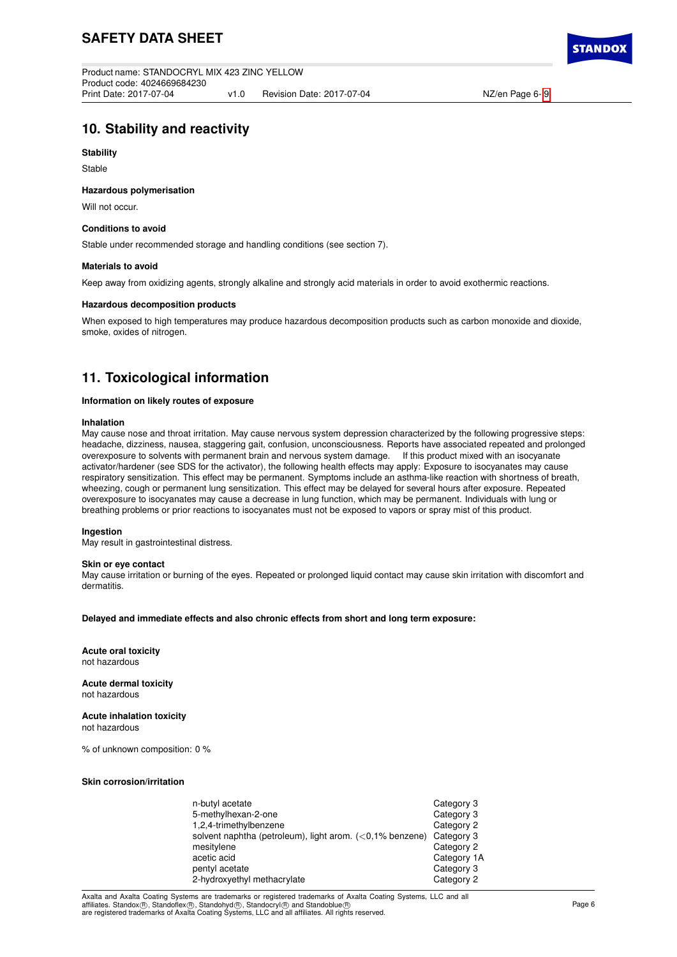# **10. Stability and reactivity**

### **Stability**

Stable

### **Hazardous polymerisation**

Will not occur.

## **Conditions to avoid**

Stable under recommended storage and handling conditions (see section 7).

### **Materials to avoid**

Keep away from oxidizing agents, strongly alkaline and strongly acid materials in order to avoid exothermic reactions.

## **Hazardous decomposition products**

When exposed to high temperatures may produce hazardous decomposition products such as carbon monoxide and dioxide, smoke, oxides of nitrogen.

# **11. Toxicological information**

### **Information on likely routes of exposure**

#### **Inhalation**

May cause nose and throat irritation. May cause nervous system depression characterized by the following progressive steps: headache, dizziness, nausea, staggering gait, confusion, unconsciousness. Reports have associated repeated and prolonged<br>overexposure to solvents with permanent brain and nervous system damage. If this product mixed with a overexposure to solvents with permanent brain and nervous system damage. activator/hardener (see SDS for the activator), the following health effects may apply: Exposure to isocyanates may cause respiratory sensitization. This effect may be permanent. Symptoms include an asthma-like reaction with shortness of breath, wheezing, cough or permanent lung sensitization. This effect may be delayed for several hours after exposure. Repeated overexposure to isocyanates may cause a decrease in lung function, which may be permanent. Individuals with lung or breathing problems or prior reactions to isocyanates must not be exposed to vapors or spray mist of this product.

#### **Ingestion**

May result in gastrointestinal distress.

## **Skin or eye contact**

May cause irritation or burning of the eyes. Repeated or prolonged liquid contact may cause skin irritation with discomfort and dermatitis.

### **Delayed and immediate effects and also chronic effects from short and long term exposure:**

**Acute oral toxicity** not hazardous

**Acute dermal toxicity** not hazardous

**Acute inhalation toxicity** not hazardous

% of unknown composition: 0 %

## **Skin corrosion/irritation**

| n-butyl acetate                                             | Category 3  |
|-------------------------------------------------------------|-------------|
| 5-methylhexan-2-one                                         | Category 3  |
| 1,2,4-trimethylbenzene                                      | Category 2  |
| solvent naphtha (petroleum), light arom. $(<0.1\%$ benzene) | Category 3  |
| mesitylene                                                  | Category 2  |
| acetic acid                                                 | Category 1A |
| pentyl acetate                                              | Category 3  |
| 2-hydroxyethyl methacrylate                                 | Category 2  |

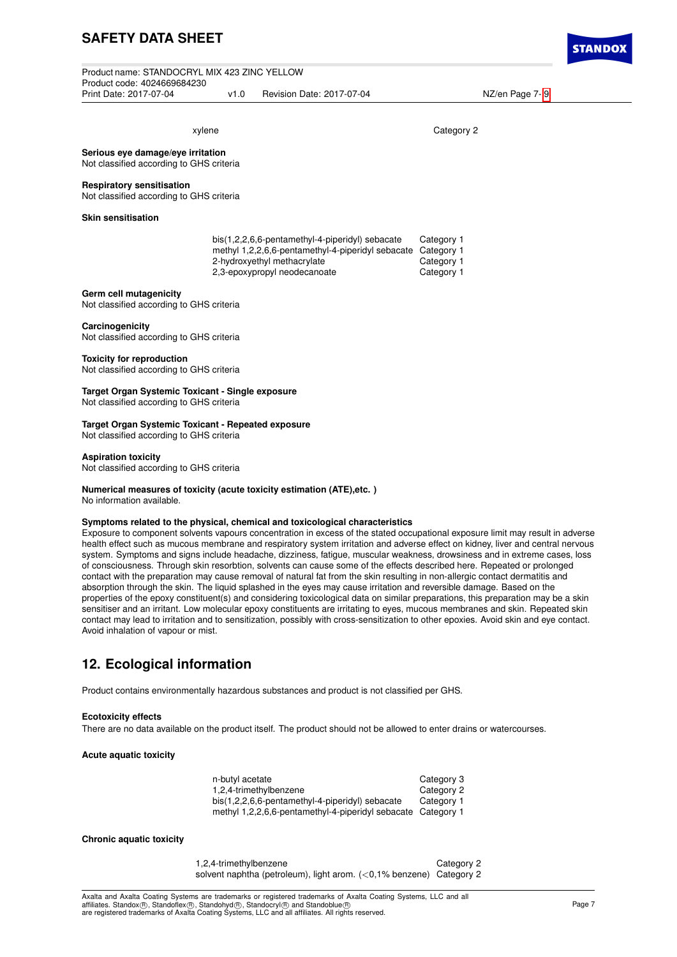# **SAFETY DATA SHEET**

Product name: STANDOCRYL MIX 423 ZINC YELLOW Product code: 4024669684230 v1.0 Revision Date: 2017-07-04 NZ/en Page 7- [9](#page-8-0)

## xylene Category 2

**Serious eye damage/eye irritation** Not classified according to GHS criteria

#### **Respiratory sensitisation**

Not classified according to GHS criteria

## **Skin sensitisation**

| bis(1,2,2,6,6-pentamethyl-4-piperidyl) sebacate              | Category 1 |
|--------------------------------------------------------------|------------|
| methyl 1,2,2,6,6-pentamethyl-4-piperidyl sebacate Category 1 |            |
| 2-hydroxyethyl methacrylate                                  | Category 1 |
| 2,3-epoxypropyl neodecanoate                                 | Category 1 |

#### **Germ cell mutagenicity**

Not classified according to GHS criteria

#### **Carcinogenicity**

Not classified according to GHS criteria

#### **Toxicity for reproduction**

Not classified according to GHS criteria

**Target Organ Systemic Toxicant - Single exposure** Not classified according to GHS criteria

#### **Target Organ Systemic Toxicant - Repeated exposure** Not classified according to GHS criteria

## **Aspiration toxicity**

Not classified according to GHS criteria

## **Numerical measures of toxicity (acute toxicity estimation (ATE),etc. )**

No information available.

#### **Symptoms related to the physical, chemical and toxicological characteristics**

Exposure to component solvents vapours concentration in excess of the stated occupational exposure limit may result in adverse health effect such as mucous membrane and respiratory system irritation and adverse effect on kidney, liver and central nervous system. Symptoms and signs include headache, dizziness, fatigue, muscular weakness, drowsiness and in extreme cases, loss of consciousness. Through skin resorbtion, solvents can cause some of the effects described here. Repeated or prolonged contact with the preparation may cause removal of natural fat from the skin resulting in non-allergic contact dermatitis and absorption through the skin. The liquid splashed in the eyes may cause irritation and reversible damage. Based on the properties of the epoxy constituent(s) and considering toxicological data on similar preparations, this preparation may be a skin sensitiser and an irritant. Low molecular epoxy constituents are irritating to eyes, mucous membranes and skin. Repeated skin contact may lead to irritation and to sensitization, possibly with cross-sensitization to other epoxies. Avoid skin and eye contact. Avoid inhalation of vapour or mist.

## **12. Ecological information**

Product contains environmentally hazardous substances and product is not classified per GHS.

#### **Ecotoxicity effects**

There are no data available on the product itself. The product should not be allowed to enter drains or watercourses.

### **Acute aquatic toxicity**

| n-butyl acetate                                              | Category 3 |
|--------------------------------------------------------------|------------|
| 1,2,4-trimethylbenzene                                       | Category 2 |
| bis(1,2,2,6,6-pentamethyl-4-piperidyl) sebacate              | Category 1 |
| methyl 1,2,2,6,6-pentamethyl-4-piperidyl sebacate Category 1 |            |

#### **Chronic aquatic toxicity**

1,2,4-trimethylbenzene Category 2 solvent naphtha (petroleum), light arom. (<0,1% benzene) Category 2

Axalta and Axalta Coating Systems are trademarks or registered trademarks of Axalta Coating Systems, LLC and all affiliates. Standox®, Standoflex®, Standohyd®, Standocryl® and Standoblue®<br>are registered trademarks of Axalta Coating Systems, LLC and all affiliates. All rights reserved.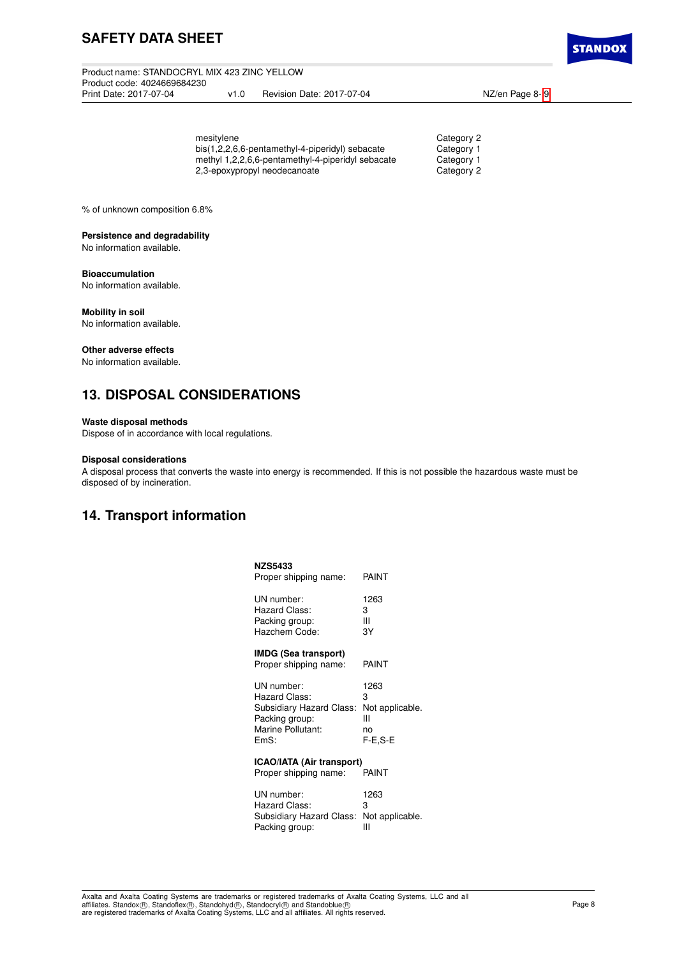# **SAFETY DATA SHEET**

Product name: STANDOCRYL MIX 423 ZINC YELLOW Product code: 4024669684230 v1.0 Revision Date: 2017-07-04 NZ/en Page 8- [9](#page-8-0)

**STANDO)** 

| mesitylene                                        | Category 2 |
|---------------------------------------------------|------------|
| bis(1,2,2,6,6-pentamethyl-4-piperidyl) sebacate   | Category 1 |
| methyl 1,2,2,6,6-pentamethyl-4-piperidyl sebacate | Category 1 |
| 2,3-epoxypropyl neodecanoate                      | Category 2 |
|                                                   |            |

% of unknown composition 6.8%

## **Persistence and degradability**

No information available.

## **Bioaccumulation**

No information available.

### **Mobility in soil**

No information available.

### **Other adverse effects**

No information available.

# **13. DISPOSAL CONSIDERATIONS**

### **Waste disposal methods**

Dispose of in accordance with local regulations.

## **Disposal considerations**

A disposal process that converts the waste into energy is recommended. If this is not possible the hazardous waste must be disposed of by incineration.

## **14. Transport information**

| <b>NZS5433</b><br>Proper shipping name:                                                                | PAINT                                                |
|--------------------------------------------------------------------------------------------------------|------------------------------------------------------|
|                                                                                                        |                                                      |
| UN number:<br>Hazard Class:<br>Packing group:<br>Hazchem Code:                                         | 1263<br>3<br>Ш<br>ЗY                                 |
| IMDG (Sea transport)<br>Proper shipping name:                                                          | PAINT                                                |
| UN number:<br>Hazard Class:<br>Subsidiary Hazard Class:<br>Packing group:<br>Marine Pollutant:<br>EmS: | 1263<br>3<br>Not applicable.<br>Ш<br>no<br>$F-E.S-E$ |
| <b>ICAO/IATA (Air transport)</b><br>Proper shipping name:                                              | PAINT                                                |
| UN number:<br>Hazard Class:<br>Subsidiary Hazard Class:<br>Packing group:                              | 1263<br>3<br>Not applicable.<br>Ш                    |